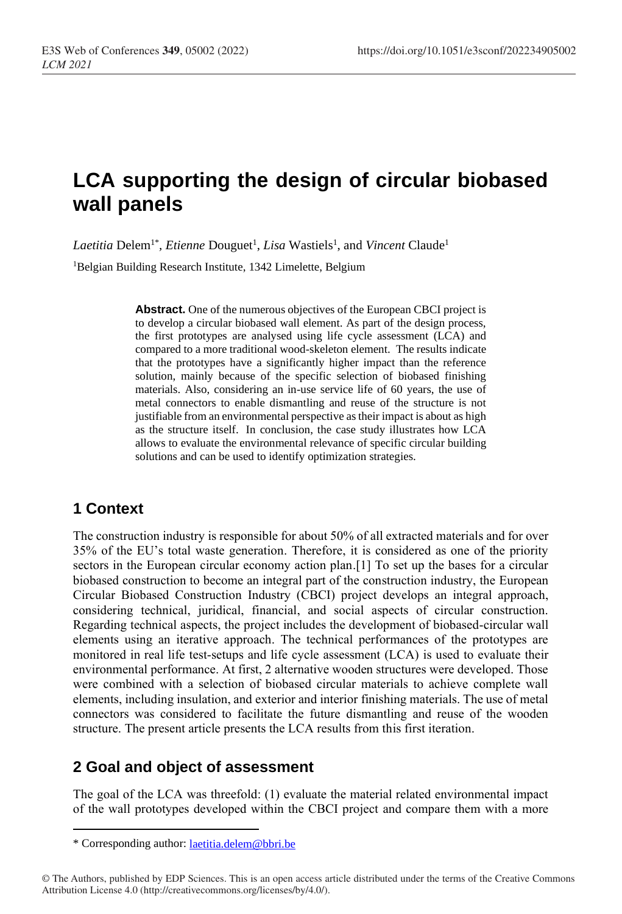# **LCA supporting the design of circular biobased wall panels**

Laetitia Delem<sup>1\*</sup>, *Etienne* Douguet<sup>1</sup>, *Lisa* Wastiels<sup>1</sup>, and *Vincent* Claude<sup>1</sup>

<sup>1</sup>Belgian Building Research Institute, 1342 Limelette, Belgium

**Abstract.** One of the numerous objectives of the European CBCI project is to develop a circular biobased wall element. As part of the design process, the first prototypes are analysed using life cycle assessment (LCA) and compared to a more traditional wood-skeleton element. The results indicate that the prototypes have a significantly higher impact than the reference solution, mainly because of the specific selection of biobased finishing materials. Also, considering an in-use service life of 60 years, the use of metal connectors to enable dismantling and reuse of the structure is not justifiable from an environmental perspective as their impact is about as high as the structure itself. In conclusion, the case study illustrates how LCA allows to evaluate the environmental relevance of specific circular building solutions and can be used to identify optimization strategies.

# **1 Context**

The construction industry is responsible for about 50% of all extracted materials and for over 35% of the EU's total waste generation. Therefore, it is considered as one of the priority sectors in the European circular economy action plan.[1] To set up the bases for a circular biobased construction to become an integral part of the construction industry, the European Circular Biobased Construction Industry (CBCI) project develops an integral approach, considering technical, juridical, financial, and social aspects of circular construction. Regarding technical aspects, the project includes the development of biobased-circular wall elements using an iterative approach. The technical performances of the prototypes are monitored in real life test-setups and life cycle assessment (LCA) is used to evaluate their environmental performance. At first, 2 alternative wooden structures were developed. Those were combined with a selection of biobased circular materials to achieve complete wall elements, including insulation, and exterior and interior finishing materials. The use of metal connectors was considered to facilitate the future dismantling and reuse of the wooden structure. The present article presents the LCA results from this first iteration.

# **2 Goal and object of assessment**

The goal of the LCA was threefold: (1) evaluate the material related environmental impact of the wall prototypes developed within the CBCI project and compare them with a more

<sup>\*</sup> Corresponding author: [laetitia.delem@bbri.be](mailto:author@email.org)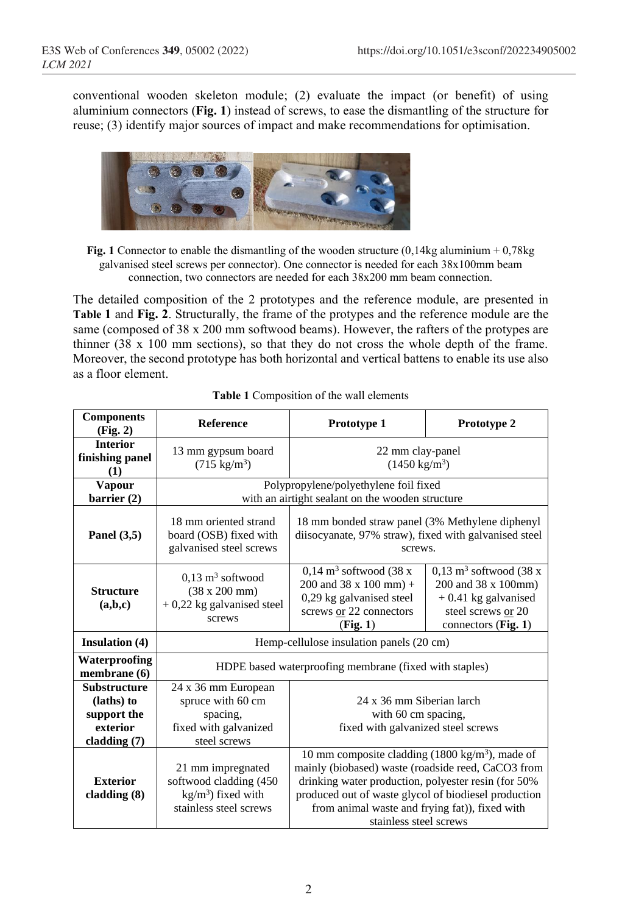conventional wooden skeleton module; (2) evaluate the impact (or benefit) of using aluminium connectors (**Fig. 1**) instead of screws, to ease the dismantling of the structure for reuse; (3) identify major sources of impact and make recommendations for optimisation.



**Fig. 1** Connector to enable the dismantling of the wooden structure (0,14kg aluminium + 0,78kg galvanised steel screws per connector). One connector is needed for each 38x100mm beam connection, two connectors are needed for each 38x200 mm beam connection.

The detailed composition of the 2 prototypes and the reference module, are presented in **Table 1** and **Fig. 2**. Structurally, the frame of the protypes and the reference module are the same (composed of 38 x 200 mm softwood beams). However, the rafters of the protypes are thinner (38 x 100 mm sections), so that they do not cross the whole depth of the frame. Moreover, the second prototype has both horizontal and vertical battens to enable its use also as a floor element.

| <b>Components</b><br>(Fig. 2)                                                  | <b>Reference</b>                                                                                     | Prototype 1                                                                                                                                                                                                                                                                                                 | Prototype 2                                                                                                                       |  |  |  |
|--------------------------------------------------------------------------------|------------------------------------------------------------------------------------------------------|-------------------------------------------------------------------------------------------------------------------------------------------------------------------------------------------------------------------------------------------------------------------------------------------------------------|-----------------------------------------------------------------------------------------------------------------------------------|--|--|--|
| <b>Interior</b><br>finishing panel<br>(1)                                      | 13 mm gypsum board<br>$(715 \text{ kg/m}^3)$                                                         | 22 mm clay-panel<br>$(1450 \text{ kg/m}^3)$                                                                                                                                                                                                                                                                 |                                                                                                                                   |  |  |  |
| <b>Vapour</b><br>barrier (2)                                                   | Polypropylene/polyethylene foil fixed<br>with an airtight sealant on the wooden structure            |                                                                                                                                                                                                                                                                                                             |                                                                                                                                   |  |  |  |
| Panel $(3,5)$                                                                  | 18 mm oriented strand<br>board (OSB) fixed with<br>galvanised steel screws                           | 18 mm bonded straw panel (3% Methylene diphenyl)<br>diisocyanate, 97% straw), fixed with galvanised steel<br>screws.                                                                                                                                                                                        |                                                                                                                                   |  |  |  |
| <b>Structure</b><br>(a,b,c)                                                    | $0.13 \text{ m}^3$ softwood<br>$(38 \times 200 \text{ mm})$<br>$+0.22$ kg galvanised steel<br>screws | $0.14 \text{ m}^3$ softwood (38 x<br>200 and 38 x 100 mm) +<br>0,29 kg galvanised steel<br>screws or 22 connectors<br>(Fig. 1)                                                                                                                                                                              | $0.13 \text{ m}^3$ softwood (38 x)<br>200 and 38 x 100mm)<br>$+0.41$ kg galvanised<br>steel screws or 20<br>connectors $(Fig. 1)$ |  |  |  |
| <b>Insulation</b> (4)                                                          | Hemp-cellulose insulation panels (20 cm)                                                             |                                                                                                                                                                                                                                                                                                             |                                                                                                                                   |  |  |  |
| Waterproofing<br>membrane (6)                                                  | HDPE based waterproofing membrane (fixed with staples)                                               |                                                                                                                                                                                                                                                                                                             |                                                                                                                                   |  |  |  |
| <b>Substructure</b><br>(laths) to<br>support the<br>exterior<br>cladding $(7)$ | 24 x 36 mm European<br>spruce with 60 cm<br>spacing,<br>fixed with galvanized<br>steel screws        | 24 x 36 mm Siberian larch<br>with 60 cm spacing,<br>fixed with galvanized steel screws                                                                                                                                                                                                                      |                                                                                                                                   |  |  |  |
| <b>Exterior</b><br>cladding $(8)$                                              | 21 mm impregnated<br>softwood cladding (450<br>$kg/m3$ ) fixed with<br>stainless steel screws        | 10 mm composite cladding $(1800 \text{ kg/m}^3)$ , made of<br>mainly (biobased) waste (roadside reed, CaCO3 from<br>drinking water production, polyester resin (for 50%<br>produced out of waste glycol of biodiesel production<br>from animal waste and frying fat)), fixed with<br>stainless steel screws |                                                                                                                                   |  |  |  |

#### **Table 1** Composition of the wall elements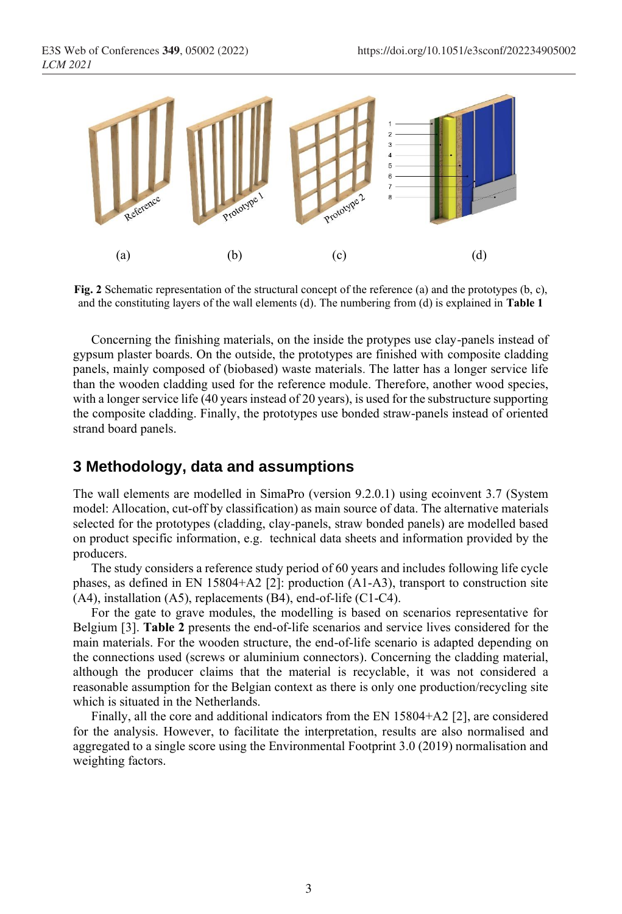

**Fig. 2** Schematic representation of the structural concept of the reference (a) and the prototypes (b, c), and the constituting layers of the wall elements (d). The numbering from (d) is explained in **Table 1**

Concerning the finishing materials, on the inside the protypes use clay-panels instead of gypsum plaster boards. On the outside, the prototypes are finished with composite cladding panels, mainly composed of (biobased) waste materials. The latter has a longer service life than the wooden cladding used for the reference module. Therefore, another wood species, with a longer service life (40 years instead of 20 years), is used for the substructure supporting the composite cladding. Finally, the prototypes use bonded straw-panels instead of oriented strand board panels.

### **3 Methodology, data and assumptions**

The wall elements are modelled in SimaPro (version 9.2.0.1) using ecoinvent 3.7 (System model: Allocation, cut-off by classification) as main source of data. The alternative materials selected for the prototypes (cladding, clay-panels, straw bonded panels) are modelled based on product specific information, e.g. technical data sheets and information provided by the producers.

The study considers a reference study period of 60 years and includes following life cycle phases, as defined in EN 15804+A2 [2]: production (A1-A3), transport to construction site (A4), installation (A5), replacements (B4), end-of-life (C1-C4).

For the gate to grave modules, the modelling is based on scenarios representative for Belgium [3]. **Table 2** presents the end-of-life scenarios and service lives considered for the main materials. For the wooden structure, the end-of-life scenario is adapted depending on the connections used (screws or aluminium connectors). Concerning the cladding material, although the producer claims that the material is recyclable, it was not considered a reasonable assumption for the Belgian context as there is only one production/recycling site which is situated in the Netherlands.

Finally, all the core and additional indicators from the EN 15804+A2 [2], are considered for the analysis. However, to facilitate the interpretation, results are also normalised and aggregated to a single score using the Environmental Footprint 3.0 (2019) normalisation and weighting factors.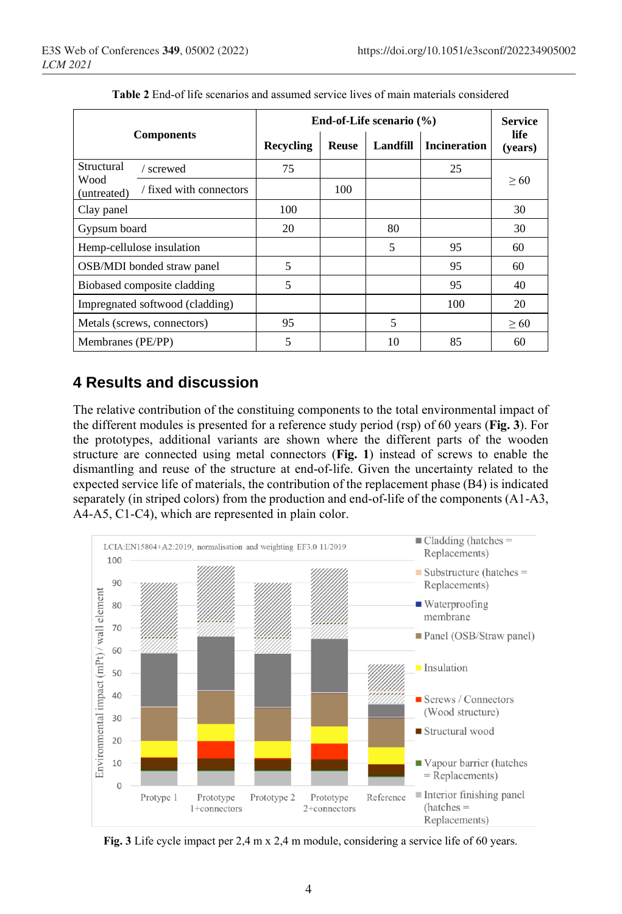|                                                | End-of-Life scenario $(\% )$ |              |          |                     | <b>Service</b>  |
|------------------------------------------------|------------------------------|--------------|----------|---------------------|-----------------|
| <b>Components</b>                              | Recycling                    | <b>Reuse</b> | Landfill | <b>Incineration</b> | life<br>(years) |
| Structural<br>/ screwed                        | 75                           |              |          | 25                  | > 60            |
| Wood<br>/ fixed with connectors<br>(untreated) |                              | 100          |          |                     |                 |
| Clay panel                                     | 100                          |              |          |                     | 30              |
| Gypsum board                                   | 20                           |              | 80       |                     | 30              |
| Hemp-cellulose insulation                      |                              |              | 5        | 95                  | 60              |
| OSB/MDI bonded straw panel                     | 5                            |              |          | 95                  | 60              |
| Biobased composite cladding                    | 5                            |              |          | 95                  | 40              |
| Impregnated softwood (cladding)                |                              |              |          | 100                 | 20              |
| Metals (screws, connectors)                    | 95                           |              | 5        |                     | > 60            |
| Membranes (PE/PP)                              | 5                            |              | 10       | 85                  | 60              |

**Table 2** End-of life scenarios and assumed service lives of main materials considered

# **4 Results and discussion**

The relative contribution of the constituing components to the total environmental impact of the different modules is presented for a reference study period (rsp) of 60 years (**Fig. 3**). For the prototypes, additional variants are shown where the different parts of the wooden structure are connected using metal connectors (**Fig. 1**) instead of screws to enable the dismantling and reuse of the structure at end-of-life. Given the uncertainty related to the expected service life of materials, the contribution of the replacement phase (B4) is indicated separately (in striped colors) from the production and end-of-life of the components (A1-A3, A4-A5, C1-C4), which are represented in plain color.



Fig. 3 Life cycle impact per 2,4 m x 2,4 m module, considering a service life of 60 years.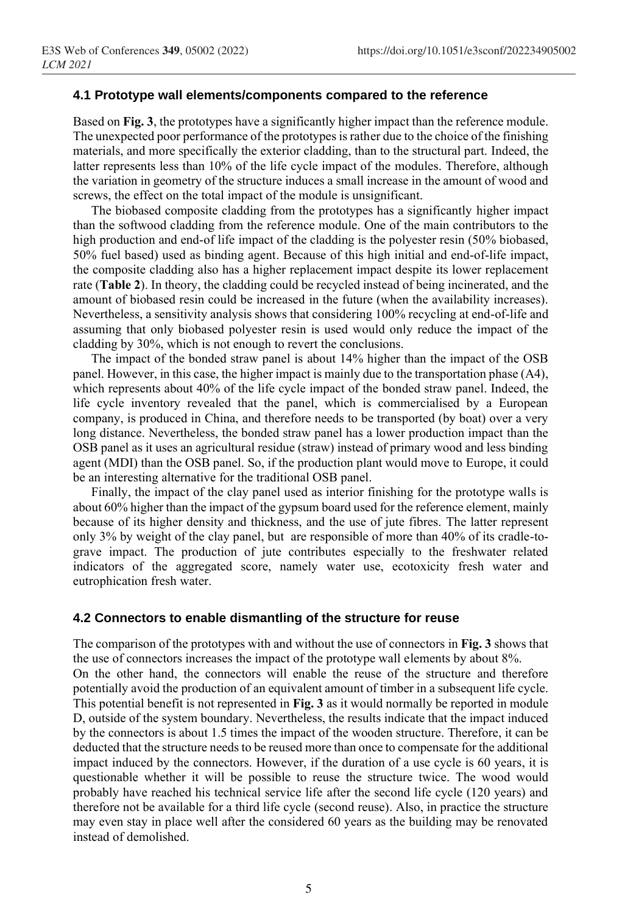#### **4.1 Prototype wall elements/components compared to the reference**

Based on **Fig. 3**, the prototypes have a significantly higher impact than the reference module. The unexpected poor performance of the prototypes is rather due to the choice of the finishing materials, and more specifically the exterior cladding, than to the structural part. Indeed, the latter represents less than 10% of the life cycle impact of the modules. Therefore, although the variation in geometry of the structure induces a small increase in the amount of wood and screws, the effect on the total impact of the module is unsignificant.

The biobased composite cladding from the prototypes has a significantly higher impact than the softwood cladding from the reference module. One of the main contributors to the high production and end-of life impact of the cladding is the polyester resin (50% biobased, 50% fuel based) used as binding agent. Because of this high initial and end-of-life impact, the composite cladding also has a higher replacement impact despite its lower replacement rate (**Table 2**). In theory, the cladding could be recycled instead of being incinerated, and the amount of biobased resin could be increased in the future (when the availability increases). Nevertheless, a sensitivity analysis shows that considering 100% recycling at end-of-life and assuming that only biobased polyester resin is used would only reduce the impact of the cladding by 30%, which is not enough to revert the conclusions.

The impact of the bonded straw panel is about 14% higher than the impact of the OSB panel. However, in this case, the higher impact is mainly due to the transportation phase (A4), which represents about 40% of the life cycle impact of the bonded straw panel. Indeed, the life cycle inventory revealed that the panel, which is commercialised by a European company, is produced in China, and therefore needs to be transported (by boat) over a very long distance. Nevertheless, the bonded straw panel has a lower production impact than the OSB panel as it uses an agricultural residue (straw) instead of primary wood and less binding agent (MDI) than the OSB panel. So, if the production plant would move to Europe, it could be an interesting alternative for the traditional OSB panel.

Finally, the impact of the clay panel used as interior finishing for the prototype walls is about 60% higher than the impact of the gypsum board used for the reference element, mainly because of its higher density and thickness, and the use of jute fibres. The latter represent only 3% by weight of the clay panel, but are responsible of more than 40% of its cradle-tograve impact. The production of jute contributes especially to the freshwater related indicators of the aggregated score, namely water use, ecotoxicity fresh water and eutrophication fresh water.

#### **4.2 Connectors to enable dismantling of the structure for reuse**

The comparison of the prototypes with and without the use of connectors in **Fig. 3** shows that the use of connectors increases the impact of the prototype wall elements by about 8%. On the other hand, the connectors will enable the reuse of the structure and therefore potentially avoid the production of an equivalent amount of timber in a subsequent life cycle. This potential benefit is not represented in **Fig. 3** as it would normally be reported in module D, outside of the system boundary. Nevertheless, the results indicate that the impact induced by the connectors is about 1.5 times the impact of the wooden structure. Therefore, it can be deducted that the structure needs to be reused more than once to compensate for the additional impact induced by the connectors. However, if the duration of a use cycle is 60 years, it is questionable whether it will be possible to reuse the structure twice. The wood would probably have reached his technical service life after the second life cycle (120 years) and therefore not be available for a third life cycle (second reuse). Also, in practice the structure may even stay in place well after the considered 60 years as the building may be renovated instead of demolished.